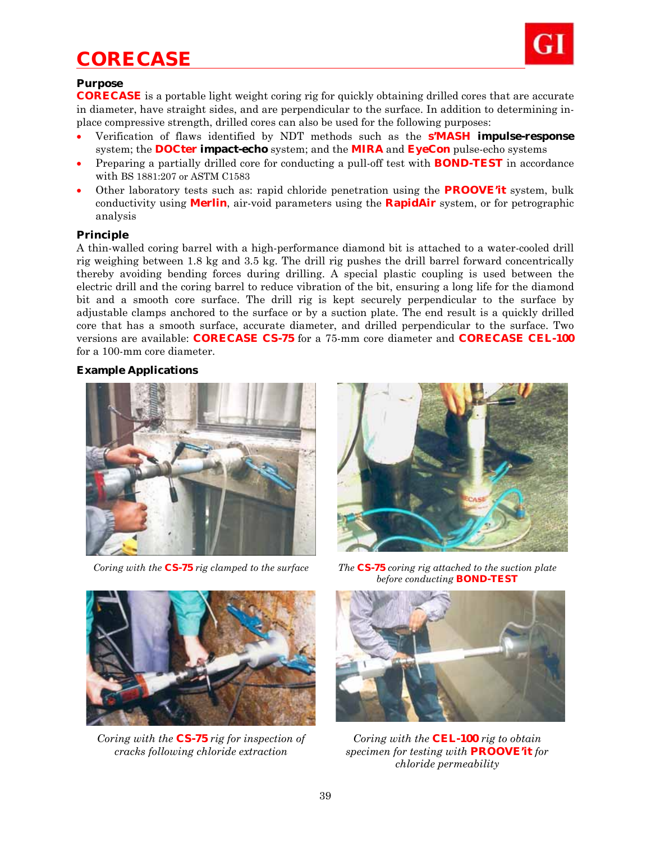# *CORECASE*



## **Purpose**

**CORECASE** is a portable light weight coring rig for quickly obtaining drilled cores that are accurate in diameter, have straight sides, and are perpendicular to the surface. In addition to determining inplace compressive strength, drilled cores can also be used for the following purposes:

- Verification of flaws identified by NDT methods such as the **s'MASH impulse-response**  system; the **DOCter impact-echo** system; and the **MIRA** and **EyeCon** pulse-echo systems
- Preparing a partially drilled core for conducting a pull-off test with **BOND-TEST** in accordance with BS 1881:207 or ASTM C1583
- Other laboratory tests such as: rapid chloride penetration using the **PROOVE'it** system, bulk conductivity using **Merlin**, air-void parameters using the **RapidAir** system, or for petrographic analysis

### **Principle**

A thin-walled coring barrel with a high-performance diamond bit is attached to a water-cooled drill rig weighing between 1.8 kg and 3.5 kg. The drill rig pushes the drill barrel forward concentrically thereby avoiding bending forces during drilling. A special plastic coupling is used between the electric drill and the coring barrel to reduce vibration of the bit, ensuring a long life for the diamond bit and a smooth core surface. The drill rig is kept securely perpendicular to the surface by adjustable clamps anchored to the surface or by a suction plate. The end result is a quickly drilled core that has a smooth surface, accurate diameter, and drilled perpendicular to the surface. Two versions are available: **CORECASE CS-75** for a 75-mm core diameter and **CORECASE CEL-100** for a 100-mm core diameter.

### **Example Applications**







*Coring with the* **CS-75** *rig for inspection of cracks following chloride extraction*

*Coring with the* **CS-75** *rig clamped to the surface The* **CS-75** *coring rig attached to the suction plate before conducting* **BOND-TEST**



*Coring with the* **CEL-100** *rig to obtain specimen for testing with* **PROOVE'it** *for chloride permeability*